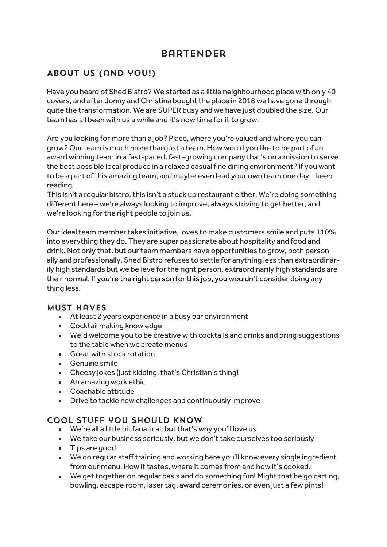# **BARTENDER**

## **ABOUT US (AND YOU!)**

Have you heard of Shed Bistro? We started as a little neighbourhood place with only 40 covers, and after Jonny and Christina bought the place in 2018 we have gone through quite the transformation. We are SUPER busy and we have just doubled the size. Our team has all been with us a while and it's now time for it to grow.

Are you looking for more than a job? Place, where you're valued and where you can grow? Our team is much more than just a team. How would you like to be part of an award winning team in a fast-paced, fast-growing company that's on a mission to serve the best possible local produce in a relaxed casual fine dining environment? If you want to be a part of this amazing team, and maybe even lead your own team one day – keep reading.

This isn't a regular bistro, this isn't a stuck up restaurant either. We're doing something different here – we're always looking to improve, always striving to get better, and we're looking for the right people to join us.

Our ideal team member takes initiative, loves to make customers smile and puts 110% into everything they do. They are super passionate about hospitality and food and drink. Not only that, but our team members have opportunities to grow, both personally and professionally. Shed Bistro refuses to settle for anything less than extraordinarily high standards but we believe for the right person, extraordinarily high standards are their normal. If you're the right person for this job, you wouldn't consider doing anything less.

### **MUST HAVES**

- At least 2 years experience in a busy bar environment
- Cocktail making knowledge
- We'd welcome you to be creative with cocktails and drinks and bring suggestions to the table when we create menus
- Great with stock rotation
- Genuine smile
- Cheesy jokes (just kidding, that's Christian's thing)
- An amazing work ethic
- Coachable attitude
- Drive to tackle new challenges and continuously improve

### **COOL STUFF YOU SHOULD KNOW**

- We're all a little bit fanatical, but that's why you'll love us
- We take our business seriously, but we don't take ourselves too seriously
- Tips are good
- We do regular staff training and working here you'll know every single ingredient from our menu. How it tastes, where it comes from and how it's cooked.
- We get together on regular basis and do something fun! Might that be go carting, bowling, escape room, laser tag, award ceremonies, or even just a few pints!